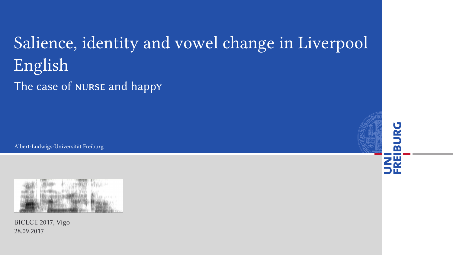### Salience, identity and vowel change in Liverpool English

The case of nurse and happy

Albert-Ludwigs-Universität Freiburg



BICLCE 2017, Vigo 28.09.2017

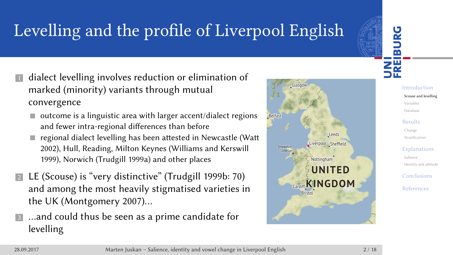# Levelling and the profile of Liverpool English

- **1** dialect levelling involves reduction or elimination of marked (minority) variants through mutual convergence
	- $\blacksquare$  outcome is a linguistic area with larger accent/dialect regions and fewer intra-regional differences than before
	- regional dialect levelling has been attested in Newcastle (Watt 2002), Hull, Reading, Milton Keynes (Williams and Kerswill 1999), Norwich (Trudgill 1999a) and other places
- <sup>2</sup> LE (Scouse) is "very distinctive" (Trudgill 1999b: 70) and among the most heavily stigmatised varieties in the UK (Montgomery 2007)…
- <sup>3</sup> …and could thus be seen as a prime candidate for levelling



UNI<br>FREIBURG Introduction Scouse and levelling Variables Database Results Change

> Stratific Explanati

> > Salience Identity and attitude

Conclusion

References

28.09.2017 Marten Juskan – Salience, identity and vowel change in Liverpool English 2 / 18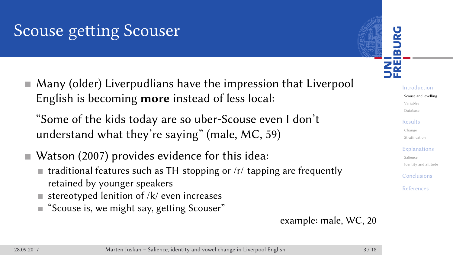#### Scouse getting Scouser

Many (older) Liverpudlians have the impression that Liverpool English is becoming **more** instead of less local:

"Some of the kids today are so uber-Scouse even I don't understand what they're saying" (male, MC, 59)

- Watson (2007) provides evidence for this idea:
	- traditional features such as TH-stopping or /r/-tapping are frequently retained by younger speakers
	- $\blacksquare$  stereotyped lenition of /k/ even increases
	- "Scouse is, we might say, getting Scouser"

example: male, WC, 20

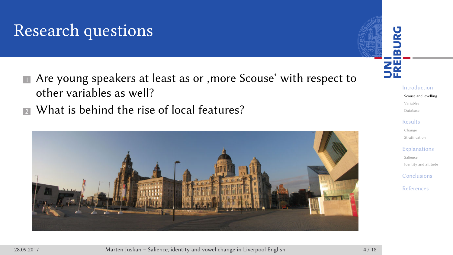# Research questions

- Are young speakers at least as or , more Scouse' with respect to other variables as well?
- <sup>2</sup> What is behind the rise of local features?



Introduction Scouse and levelling Variables Database Results Change Stratifica Explanatio Salience Identity and Conclusion References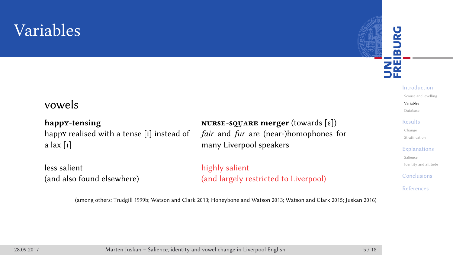# Variables

#### vowels

**happy-tensing nurse-sqare merger** (towards [ɛ]) happy realised with a tense [i] instead of a lax [ɪ]

less salient (and also found elsewhere) fair and fur are (near-)homophones for many Liverpool speakers

highly salient (and largely restricted to Liverpool)

(among others: Trudgill 1999b; Watson and Clark 2013; Honeybone and Watson 2013; Watson and Clark 2015; Juskan 2016)

UNI<br>FREIBURG Introduction Scouse and levelling Variables Database Results Change Stratification Explanations Salience Identity and attitude Conclusions References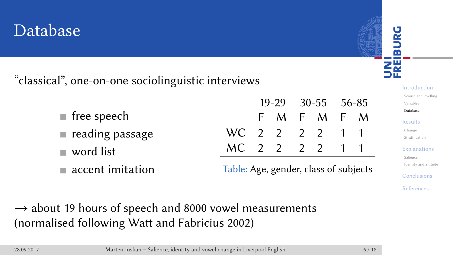#### Database

"classical", one-on-one sociolinguistic interviews

- free speech
- reading passage
- word list
- accent imitation

|              |  |     | 19-29 30-55 56-85 |     |   |   |
|--------------|--|-----|-------------------|-----|---|---|
|              |  | F M |                   | F M | F | M |
| WC 2 2 2 2 1 |  |     |                   |     |   |   |
| MC 2 2 2 2   |  |     |                   |     |   |   |

Table: Age, gender, class of subjects

 $\rightarrow$  about 19 hours of speech and 8000 vowel measurements (normalised following Watt and Fabricius 2002)

| 28.09.201 |  |  |
|-----------|--|--|
|           |  |  |

28.09.2018 Marten Juskan – Salience, identity and vowel change in Liverpool English

Introduction Scouse and levelling Variables Database Results Change Stratificat Explanations Salience Identity and atti **Conclusions** References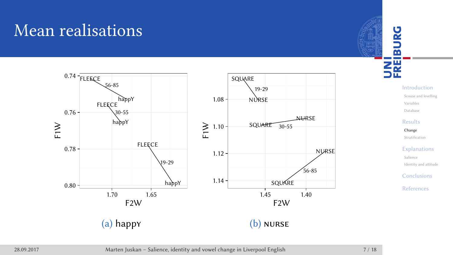

28.09.2017 Marten Juskan – Salience, identity and vowel change in Liverpool English 7 / 18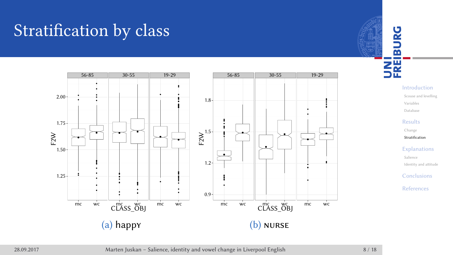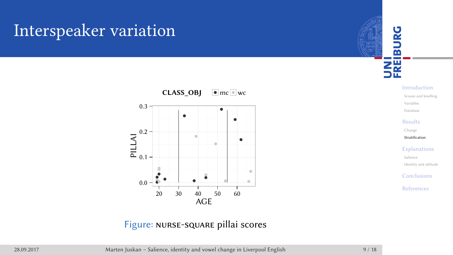# Interspeaker variation



Figure: nurse-square pillai scores



Introduction Scouse and levelling Variables Database Results Change Stratification Explanations Salience Identity and a **Conclusions** References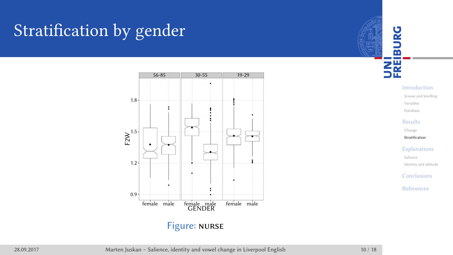# Stratification by gender





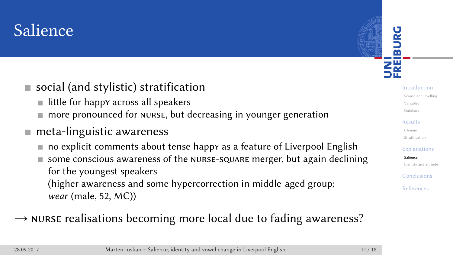#### Salience

- social (and stylistic) stratification
	- $\blacksquare$  little for happy across all speakers
	- more pronounced for nurse, but decreasing in younger generation
- meta-linguistic awareness
	- no explicit comments about tense happy as a feature of Liverpool English
	- some conscious awareness of the nurse-square merger, but again declining for the youngest speakers (higher awareness and some hypercorrection in middle-aged group; wear (male, 52, MC))
- $\rightarrow$  nurse realisations becoming more local due to fading awareness?

UNI<br>FREIBURG Introduction Scouse and levelling Variables Database Results Change Stratificati Explanations Salience Identity and atti Conclusions References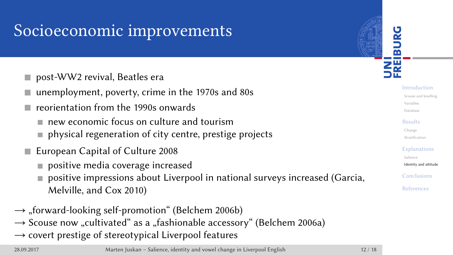#### Socioeconomic improvements

- post-WW2 revival, Beatles era
- unemployment, poverty, crime in the 1970s and 80s
- reorientation from the 1990s onwards
	- new economic focus on culture and tourism
	- physical regeneration of city centre, prestige projects
- European Capital of Culture 2008
	- positive media coverage increased
	- positive impressions about Liverpool in national surveys increased (Garcia, Melville, and Cox 2010)
- $\rightarrow$  "forward-looking self-promotion" (Belchem 2006b)
- $\rightarrow$  Scouse now "cultivated" as a "fashionable accessory" (Belchem 2006a)
- $\rightarrow$  covert prestige of stereotypical Liverpool features

Introduction Scouse and levelling Variables Database Results Change Stratificati Explanations Salience Identity and attitude **Conclusions** References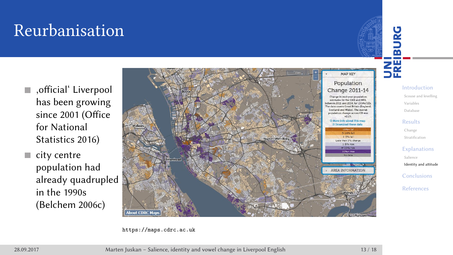# Reurbanisation

- ,official' Liverpool has been growing since 2001 (Office for National Statistics 2016)
- $\blacksquare$  city centre population had already quadrupled in the 1990s (Belchem 2006c)



https://maps.cdrc.ac.uk

Introduction Scouse and levelling Variables Database Results Change Stratification Explanations Salience Identity and attitude Conclusions References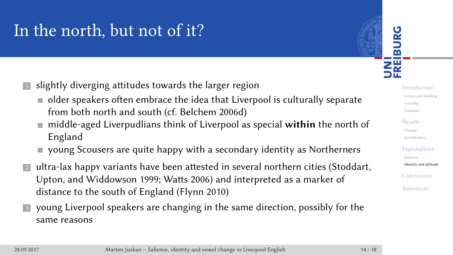#### In the north, but not of it?

**1** slightly diverging attitudes towards the larger region

- older speakers often embrace the idea that Liverpool is culturally separate from both north and south (cf. Belchem 2006d)
- middle-aged Liverpudlians think of Liverpool as special **within** the north of England
- young Scousers are quite happy with a secondary identity as Northerners
- **2** ultra-lax happy variants have been attested in several northern cities (Stoddart, Upton, and Widdowson 1999; Watts 2006) and interpreted as a marker of distance to the south of England (Flynn 2010)
- **3** young Liverpool speakers are changing in the same direction, possibly for the same reasons

UNI<br>FREIBURG Introduction Scouse and levelling Variables Database Results Change Stratification Explanations Salience Identity and attitude **Conclusions** References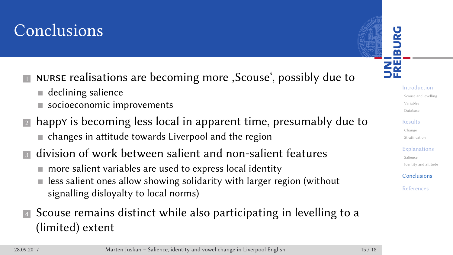#### Conclusions

- **I** NURSE realisations are becoming more , Scouse', possibly due to
	- declining salience
	- socioeconomic improvements
- **2** happy is becoming less local in apparent time, presumably due to changes in attitude towards Liverpool and the region
- **3** division of work between salient and non-salient features
	- more salient variables are used to express local identity
	- less salient ones allow showing solidarity with larger region (without signalling disloyalty to local norms)
- **4** Scouse remains distinct while also participating in levelling to a (limited) extent

UNI<br>FREIBURG Introduction Scouse and levelling Variables Database Results Change Stratificati Explanations Salience Identity and attitude **Conclusions** References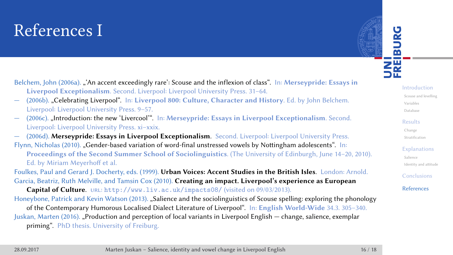#### References I



- Belchem, John (2006a). "'An accent exceedingly rare': Scouse and the inflexion of class". In: **Merseypride: Essays in Liverpool Exceptionalism**. Second. Liverpool: Liverpool University Press. 31–64.
- (2006b). "Celebrating Liverpool". In: **Liverpool 800: Culture, Character and History**. Ed. by John Belchem. Liverpool: Liverpool University Press. 9–57.
- (2006c). "Introduction: the new 'Livercool'". In: **Merseypride: Essays in Liverpool Exceptionalism**. Second. Liverpool: Liverpool University Press. xi–xxix.
- (2006d). **Merseypride: Essays in Liverpool Exceptionalism**. Second. Liverpool: Liverpool University Press.
- Flynn, Nicholas (2010). "Gender-based variation of word-final unstressed vowels by Nottingham adolescents". In: **Proceedings of the Second Summer School of Sociolinguistics**. (The University of Edinburgh, June 14–20, 2010). Ed. by Miriam Meyerhoff et al.
- Foulkes, Paul and Gerard J. Docherty, eds. (1999). **Urban Voices: Accent Studies in the British Isles**. London: Arnold. Garcia, Beatriz, Ruth Melville, and Tamsin Cox (2010). **Creating an impact. Liverpool's experience as European Capital of Culture**. url: http://www.liv.ac.uk/impacts08/ (visited on 09/03/2013).
- Honeybone, Patrick and Kevin Watson (2013). "Salience and the sociolinguistics of Scouse spelling: exploring the phonology of the Contemporary Humorous Localised Dialect Literature of Liverpool". In: **English World-Wide** 34.3. 305–340.
- Juskan, Marten (2016). "Production and perception of local variants in Liverpool English change, salience, exemplar
	- priming". PhD thesis. University of Freiburg.

Introduction

Scouse and levelling Variables

Database Results

Change Stratificat

Explanations

Salience Identity and attitud

Conclusions

References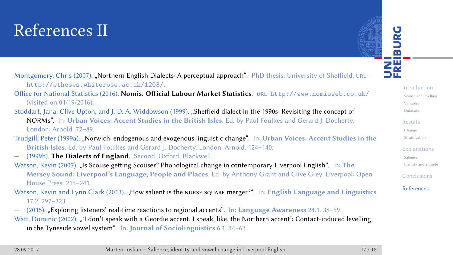#### References II

UNI<br>FREIBURG

Introduction Scouse and levelling Variables Database Results Change Stratificati Explanations Salience Identity and attitude Conclusions References

Montgomery, Chris (2007). "Northern English Dialects: A perceptual approach". PhD thesis. University of Sheffield. URL: http://etheses.whiterose.ac.uk/1203/.

Office for National Statistics (2016). **Nomis. Official Labour Market Statistics**. url: http://www.nomisweb.co.uk/ (visited on 01/19/2016).

Stoddart, Jana, Clive Upton, and J. D. A. Widdowson (1999). "Sheffield dialect in the 1990s: Revisiting the concept of NORMs". In: **Urban Voices: Accent Studies in the British Isles**. Ed. by Paul Foulkes and Gerard J. Docherty. London: Arnold. 72–89.

Trudgill, Peter (1999a). "Norwich: endogenous and exogenous linguistic change". In: **Urban Voices: Accent Studies in the British Isles**. Ed. by Paul Foulkes and Gerard J. Docherty. London: Arnold. 124–140. — (1999b). **The Dialects of England**. Second. Oxford: Blackwell.

Watson, Kevin (2007). "Is Scouse getting Scouser? Phonological change in contemporary Liverpool English". In: The **Mersey Sound: Liverpool's Language, People and Places**. Ed. by Anthony Grant and Clive Grey. Liverpool: Open House Press. 215–241.

- Watson, Kevin and Lynn Clark (2013). "How salient is the NURSE SQUARE merger?". In: English Language and Linguistics 17.2. 297–323.
- (2015). "Exploring listeners' real-time reactions to regional accents". In: **Language Awareness** 24.1. 38–59.

Watt, Dominic (2002). "'I don't speak with a Geordie accent, I speak, like, the Northern accent': Contact-induced levelling in the Tyneside vowel system". In: **Journal of Sociolinguistics** 6.1. 44–63.